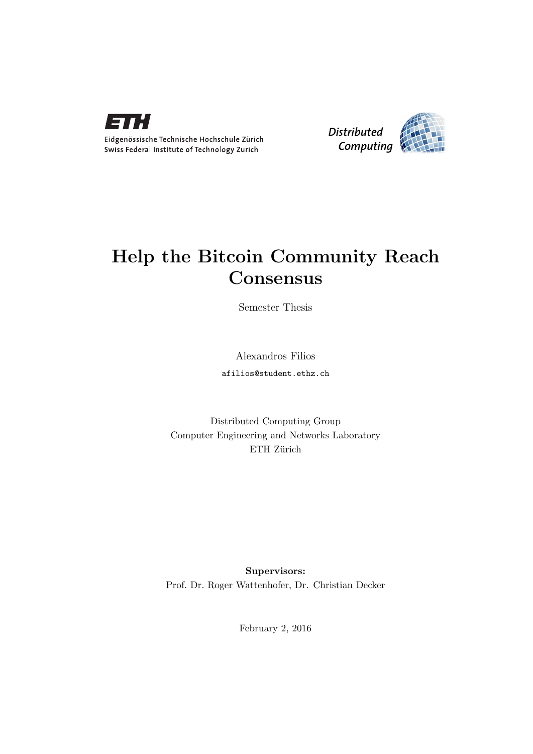



# Help the Bitcoin Community Reach Consensus

Semester Thesis

Alexandros Filios afilios@student.ethz.ch

Distributed Computing Group Computer Engineering and Networks Laboratory ETH Zürich

Supervisors: Prof. Dr. Roger Wattenhofer, Dr. Christian Decker

February 2, 2016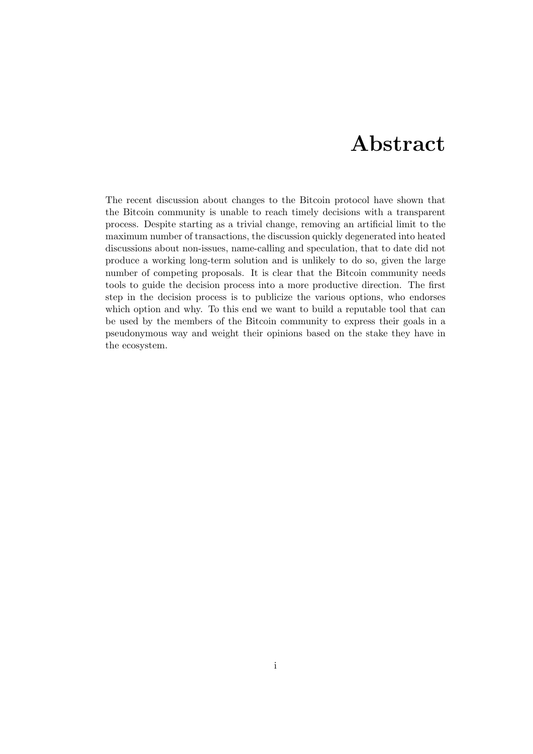# Abstract

<span id="page-1-0"></span>The recent discussion about changes to the Bitcoin protocol have shown that the Bitcoin community is unable to reach timely decisions with a transparent process. Despite starting as a trivial change, removing an artificial limit to the maximum number of transactions, the discussion quickly degenerated into heated discussions about non-issues, name-calling and speculation, that to date did not produce a working long-term solution and is unlikely to do so, given the large number of competing proposals. It is clear that the Bitcoin community needs tools to guide the decision process into a more productive direction. The first step in the decision process is to publicize the various options, who endorses which option and why. To this end we want to build a reputable tool that can be used by the members of the Bitcoin community to express their goals in a pseudonymous way and weight their opinions based on the stake they have in the ecosystem.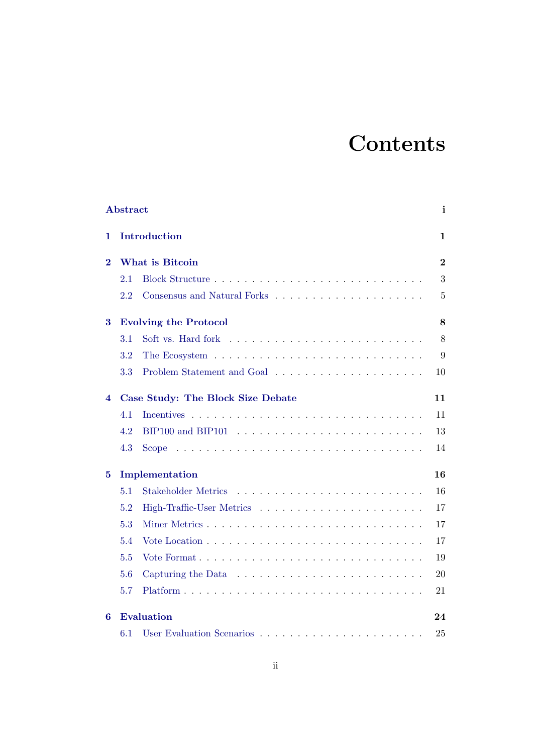# **Contents**

|          | Abstract |                                                                                             | i              |
|----------|----------|---------------------------------------------------------------------------------------------|----------------|
| 1        |          | Introduction                                                                                | 1              |
| $\bf{2}$ |          | What is Bitcoin                                                                             | $\overline{2}$ |
|          | 2.1      |                                                                                             | 3              |
|          | 2.2      |                                                                                             | $\overline{5}$ |
| 3        |          | <b>Evolving the Protocol</b>                                                                | 8              |
|          | 3.1      |                                                                                             | 8              |
|          | 3.2      |                                                                                             | 9              |
|          | 3.3      |                                                                                             | 10             |
| 4        |          | Case Study: The Block Size Debate                                                           | 11             |
|          | 4.1      |                                                                                             | 11             |
|          | 4.2      |                                                                                             | 13             |
|          | 4.3      | Scope $\ldots \ldots \ldots \ldots \ldots \ldots \ldots \ldots \ldots \ldots \ldots \ldots$ | 14             |
| $\bf{5}$ |          | Implementation                                                                              | 16             |
|          | 5.1      | <b>Stakeholder Metrics</b>                                                                  | 16             |
|          | 5.2      |                                                                                             | 17             |
|          | 5.3      |                                                                                             | 17             |
|          | 5.4      |                                                                                             | 17             |
|          | 5.5      | Vote Format $\ldots \ldots \ldots \ldots \ldots \ldots \ldots \ldots \ldots \ldots$         | 19             |
|          | 5.6      | Capturing the Data $\ldots \ldots \ldots \ldots \ldots \ldots \ldots \ldots$                | 20             |
|          | 5.7      |                                                                                             | 21             |
| 6        |          | <b>Evaluation</b>                                                                           | 24             |
|          | 6.1      |                                                                                             | 25             |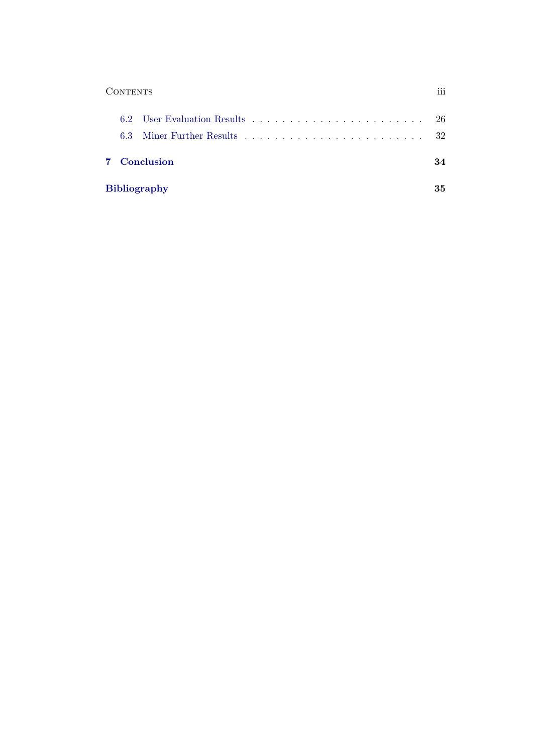| 111 |
|-----|
|     |

|  | 7 Conclusion        | 34 |
|--|---------------------|----|
|  | <b>Bibliography</b> | 35 |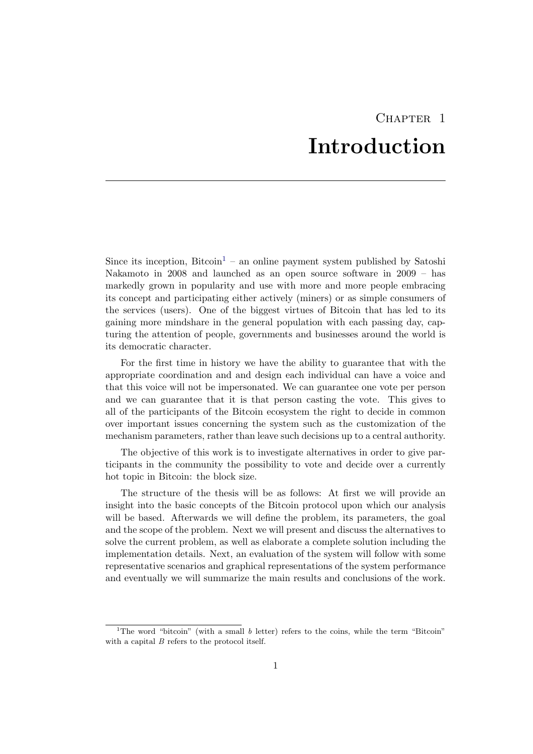# CHAPTER<sub>1</sub> Introduction

<span id="page-4-0"></span>Since its inception, Bitcoin<sup>[1](#page-4-1)</sup> – an online payment system published by Satoshi Nakamoto in 2008 and launched as an open source software in 2009 – has markedly grown in popularity and use with more and more people embracing its concept and participating either actively (miners) or as simple consumers of the services (users). One of the biggest virtues of Bitcoin that has led to its gaining more mindshare in the general population with each passing day, capturing the attention of people, governments and businesses around the world is its democratic character.

For the first time in history we have the ability to guarantee that with the appropriate coordination and and design each individual can have a voice and that this voice will not be impersonated. We can guarantee one vote per person and we can guarantee that it is that person casting the vote. This gives to all of the participants of the Bitcoin ecosystem the right to decide in common over important issues concerning the system such as the customization of the mechanism parameters, rather than leave such decisions up to a central authority.

The objective of this work is to investigate alternatives in order to give participants in the community the possibility to vote and decide over a currently hot topic in Bitcoin: the block size.

The structure of the thesis will be as follows: At first we will provide an insight into the basic concepts of the Bitcoin protocol upon which our analysis will be based. Afterwards we will define the problem, its parameters, the goal and the scope of the problem. Next we will present and discuss the alternatives to solve the current problem, as well as elaborate a complete solution including the implementation details. Next, an evaluation of the system will follow with some representative scenarios and graphical representations of the system performance and eventually we will summarize the main results and conclusions of the work.

<span id="page-4-1"></span><sup>&</sup>lt;sup>1</sup>The word "bitcoin" (with a small  $b$  letter) refers to the coins, while the term "Bitcoin" with a capital  $B$  refers to the protocol itself.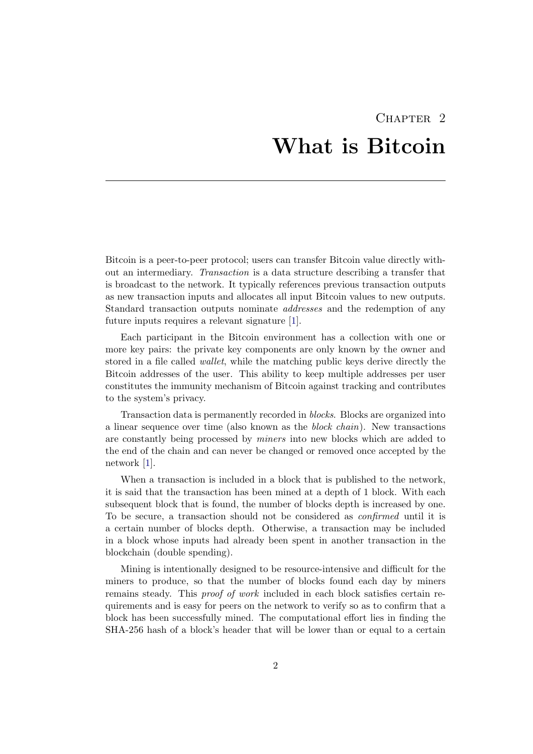# CHAPTER<sub>2</sub> What is Bitcoin

<span id="page-5-0"></span>Bitcoin is a peer-to-peer protocol; users can transfer Bitcoin value directly without an intermediary. Transaction is a data structure describing a transfer that is broadcast to the network. It typically references previous transaction outputs as new transaction inputs and allocates all input Bitcoin values to new outputs. Standard transaction outputs nominate addresses and the redemption of any future inputs requires a relevant signature [\[1\]](#page-38-1).

Each participant in the Bitcoin environment has a collection with one or more key pairs: the private key components are only known by the owner and stored in a file called wallet, while the matching public keys derive directly the Bitcoin addresses of the user. This ability to keep multiple addresses per user constitutes the immunity mechanism of Bitcoin against tracking and contributes to the system's privacy.

Transaction data is permanently recorded in blocks. Blocks are organized into a linear sequence over time (also known as the block chain). New transactions are constantly being processed by miners into new blocks which are added to the end of the chain and can never be changed or removed once accepted by the network [\[1\]](#page-38-1).

When a transaction is included in a block that is published to the network, it is said that the transaction has been mined at a depth of 1 block. With each subsequent block that is found, the number of blocks depth is increased by one. To be secure, a transaction should not be considered as confirmed until it is a certain number of blocks depth. Otherwise, a transaction may be included in a block whose inputs had already been spent in another transaction in the blockchain (double spending).

Mining is intentionally designed to be resource-intensive and difficult for the miners to produce, so that the number of blocks found each day by miners remains steady. This proof of work included in each block satisfies certain requirements and is easy for peers on the network to verify so as to confirm that a block has been successfully mined. The computational effort lies in finding the SHA-256 hash of a block's header that will be lower than or equal to a certain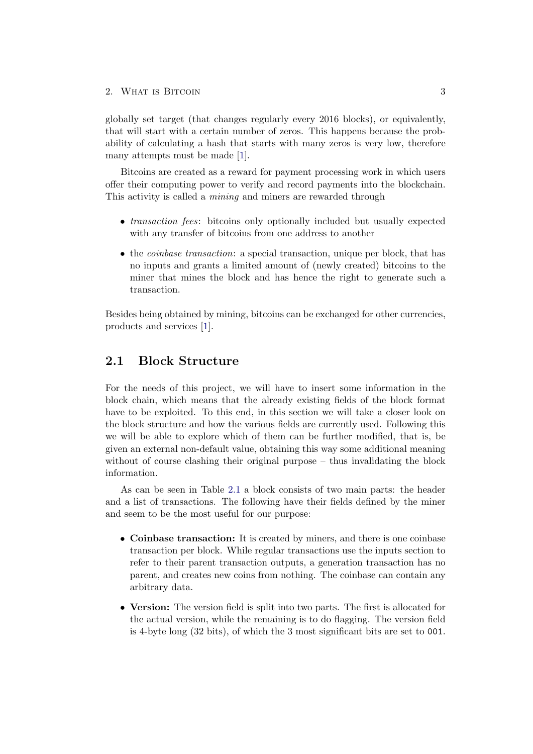globally set target (that changes regularly every 2016 blocks), or equivalently, that will start with a certain number of zeros. This happens because the probability of calculating a hash that starts with many zeros is very low, therefore many attempts must be made [\[1\]](#page-38-1).

Bitcoins are created as a reward for payment processing work in which users offer their computing power to verify and record payments into the blockchain. This activity is called a mining and miners are rewarded through

- *transaction fees*: bitcoins only optionally included but usually expected with any transfer of bitcoins from one address to another
- the *coinbase transaction*: a special transaction, unique per block, that has no inputs and grants a limited amount of (newly created) bitcoins to the miner that mines the block and has hence the right to generate such a transaction.

Besides being obtained by mining, bitcoins can be exchanged for other currencies, products and services [\[1\]](#page-38-1).

## <span id="page-6-0"></span>2.1 Block Structure

For the needs of this project, we will have to insert some information in the block chain, which means that the already existing fields of the block format have to be exploited. To this end, in this section we will take a closer look on the block structure and how the various fields are currently used. Following this we will be able to explore which of them can be further modified, that is, be given an external non-default value, obtaining this way some additional meaning without of course clashing their original purpose – thus invalidating the block information.

As can be seen in Table [2.1](#page-8-1) a block consists of two main parts: the header and a list of transactions. The following have their fields defined by the miner and seem to be the most useful for our purpose:

- Coinbase transaction: It is created by miners, and there is one coinbase transaction per block. While regular transactions use the inputs section to refer to their parent transaction outputs, a generation transaction has no parent, and creates new coins from nothing. The coinbase can contain any arbitrary data.
- Version: The version field is split into two parts. The first is allocated for the actual version, while the remaining is to do flagging. The version field is 4-byte long (32 bits), of which the 3 most significant bits are set to 001.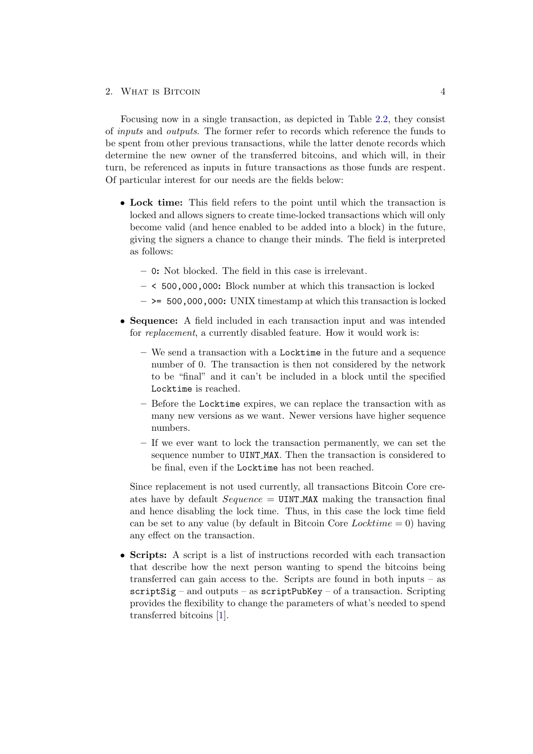Focusing now in a single transaction, as depicted in Table [2.2,](#page-9-0) they consist of inputs and outputs. The former refer to records which reference the funds to be spent from other previous transactions, while the latter denote records which determine the new owner of the transferred bitcoins, and which will, in their turn, be referenced as inputs in future transactions as those funds are respent. Of particular interest for our needs are the fields below:

- Lock time: This field refers to the point until which the transaction is locked and allows signers to create time-locked transactions which will only become valid (and hence enabled to be added into a block) in the future, giving the signers a chance to change their minds. The field is interpreted as follows:
	- 0: Not blocked. The field in this case is irrelevant.
	- < 500,000,000: Block number at which this transaction is locked
	- $-$  >= 500,000,000: UNIX timestamp at which this transaction is locked
- Sequence: A field included in each transaction input and was intended for replacement, a currently disabled feature. How it would work is:
	- We send a transaction with a Locktime in the future and a sequence number of 0. The transaction is then not considered by the network to be "final" and it can't be included in a block until the specified Locktime is reached.
	- Before the Locktime expires, we can replace the transaction with as many new versions as we want. Newer versions have higher sequence numbers.
	- If we ever want to lock the transaction permanently, we can set the sequence number to UINT MAX. Then the transaction is considered to be final, even if the Locktime has not been reached.

Since replacement is not used currently, all transactions Bitcoin Core creates have by default  $Sequence = \text{UINT\_MAX}$  making the transaction final and hence disabling the lock time. Thus, in this case the lock time field can be set to any value (by default in Bitcoin Core  $Lochtime = 0$ ) having any effect on the transaction.

• Scripts: A script is a list of instructions recorded with each transaction that describe how the next person wanting to spend the bitcoins being transferred can gain access to the. Scripts are found in both inputs – as  $scriptSig - and outputs - as scriptPubKey - of a transaction. Scripting$ provides the flexibility to change the parameters of what's needed to spend transferred bitcoins [\[1\]](#page-38-1).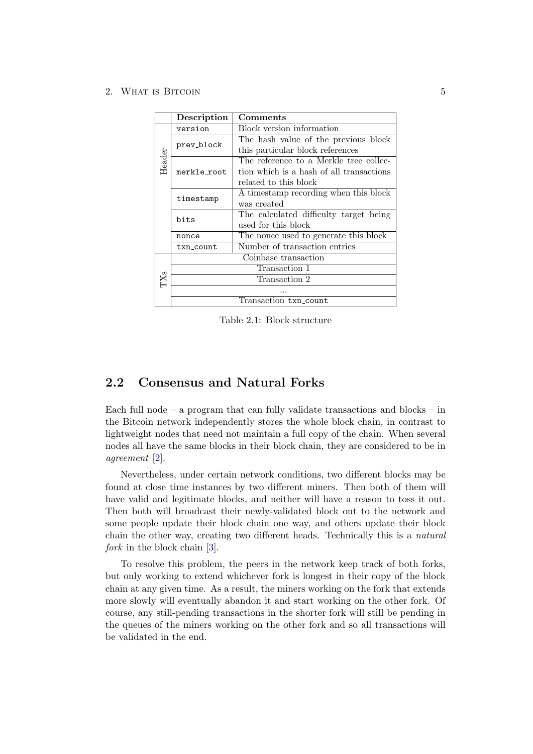|        | Description          | Comments                                 |  |  |
|--------|----------------------|------------------------------------------|--|--|
|        | version              | <b>Block</b> version information         |  |  |
|        |                      | The hash value of the previous block     |  |  |
|        | prev_block           | this particular block references         |  |  |
| Header |                      | The reference to a Merkle tree collec-   |  |  |
|        | merkle_root          | tion which is a hash of all transactions |  |  |
|        |                      | related to this block                    |  |  |
|        | timestamp            | A timestamp recording when this block    |  |  |
|        |                      | was created                              |  |  |
|        | bits                 | The calculated difficulty target being   |  |  |
|        |                      | used for this block                      |  |  |
|        | nonce                | The nonce used to generate this block    |  |  |
|        | txn_count            | Number of transaction entries            |  |  |
|        | Coinbase transaction |                                          |  |  |
|        | Transaction 1        |                                          |  |  |
| TXs    | Transaction 2        |                                          |  |  |
|        |                      |                                          |  |  |
|        |                      | Transaction txn_count                    |  |  |

<span id="page-8-1"></span>Table 2.1: Block structure

## <span id="page-8-0"></span>2.2 Consensus and Natural Forks

Each full node – a program that can fully validate transactions and blocks – in the Bitcoin network independently stores the whole block chain, in contrast to lightweight nodes that need not maintain a full copy of the chain. When several nodes all have the same blocks in their block chain, they are considered to be in agreement [\[2\]](#page-38-2).

Nevertheless, under certain network conditions, two different blocks may be found at close time instances by two different miners. Then both of them will have valid and legitimate blocks, and neither will have a reason to toss it out. Then both will broadcast their newly-validated block out to the network and some people update their block chain one way, and others update their block chain the other way, creating two different heads. Technically this is a natural fork in the block chain [\[3\]](#page-38-3).

To resolve this problem, the peers in the network keep track of both forks, but only working to extend whichever fork is longest in their copy of the block chain at any given time. As a result, the miners working on the fork that extends more slowly will eventually abandon it and start working on the other fork. Of course, any still-pending transactions in the shorter fork will still be pending in the queues of the miners working on the other fork and so all transactions will be validated in the end.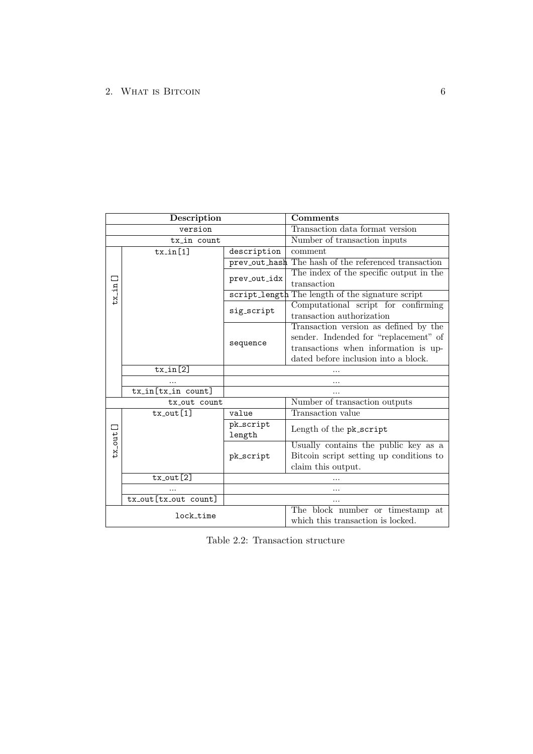| Description      |                       |                                                  | Comments                                                              |  |
|------------------|-----------------------|--------------------------------------------------|-----------------------------------------------------------------------|--|
|                  | version               |                                                  | Transaction data format version                                       |  |
| tx_in count      |                       |                                                  | Number of transaction inputs                                          |  |
|                  | $tx_in[1]$            | description                                      | comment                                                               |  |
|                  |                       | prev_out_hash                                    | The hash of the referenced transaction                                |  |
|                  |                       | prev_out_idx                                     | The index of the specific output in the                               |  |
| $tx\_in$         |                       |                                                  | transaction                                                           |  |
|                  |                       | script_length The length of the signature script |                                                                       |  |
|                  |                       | sig_script                                       | Computational script for confirming                                   |  |
|                  |                       |                                                  | transaction authorization                                             |  |
|                  |                       |                                                  | Transaction version as defined by the                                 |  |
|                  |                       | sequence                                         | sender. Indended for "replacement" of                                 |  |
|                  |                       |                                                  | transactions when information is up-                                  |  |
|                  |                       |                                                  | dated before inclusion into a block.                                  |  |
|                  | $tx_in[2]$            |                                                  |                                                                       |  |
|                  |                       |                                                  |                                                                       |  |
|                  | $tx_in(tx_in count]$  |                                                  |                                                                       |  |
| tx out count     |                       |                                                  | Number of transaction outputs                                         |  |
| $tx_$ -out $[1]$ |                       | value                                            | Transaction value                                                     |  |
| $tx\_out[]$      |                       | pk_script<br>length                              | Length of the pk_script                                               |  |
|                  |                       |                                                  | Usually contains the public key as a                                  |  |
|                  |                       | pk_script                                        | Bitcoin script setting up conditions to                               |  |
|                  |                       |                                                  | claim this output.                                                    |  |
|                  | $tx$ -out $[2]$       |                                                  |                                                                       |  |
|                  |                       |                                                  |                                                                       |  |
|                  | tx_out [tx_out count] |                                                  |                                                                       |  |
| lock_time        |                       |                                                  | The block number or timestamp at<br>which this transaction is locked. |  |

<span id="page-9-0"></span>Table 2.2: Transaction structure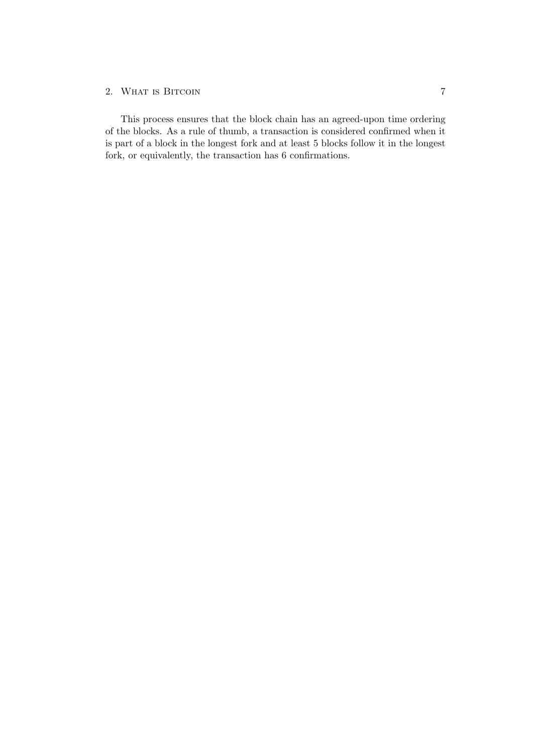This process ensures that the block chain has an agreed-upon time ordering of the blocks. As a rule of thumb, a transaction is considered confirmed when it is part of a block in the longest fork and at least 5 blocks follow it in the longest fork, or equivalently, the transaction has 6 confirmations.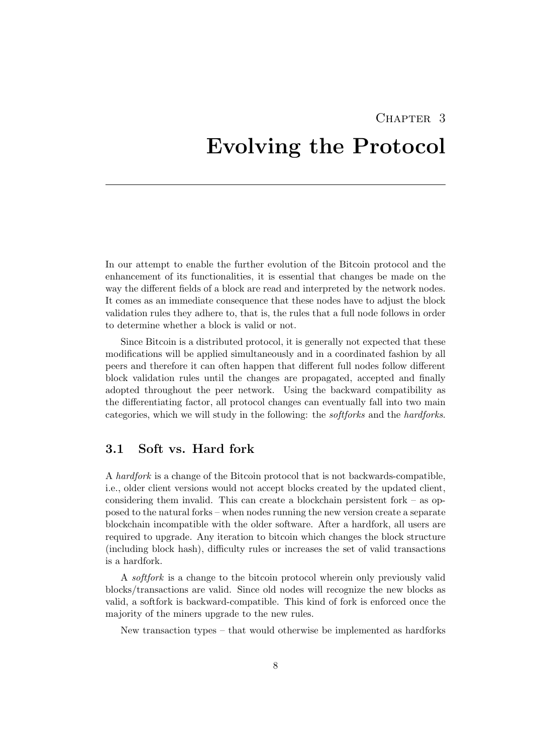# <span id="page-11-0"></span>CHAPTER<sub>3</sub> Evolving the Protocol

In our attempt to enable the further evolution of the Bitcoin protocol and the enhancement of its functionalities, it is essential that changes be made on the way the different fields of a block are read and interpreted by the network nodes. It comes as an immediate consequence that these nodes have to adjust the block validation rules they adhere to, that is, the rules that a full node follows in order to determine whether a block is valid or not.

Since Bitcoin is a distributed protocol, it is generally not expected that these modifications will be applied simultaneously and in a coordinated fashion by all peers and therefore it can often happen that different full nodes follow different block validation rules until the changes are propagated, accepted and finally adopted throughout the peer network. Using the backward compatibility as the differentiating factor, all protocol changes can eventually fall into two main categories, which we will study in the following: the softforks and the hardforks.

## <span id="page-11-1"></span>3.1 Soft vs. Hard fork

A hardfork is a change of the Bitcoin protocol that is not backwards-compatible, i.e., older client versions would not accept blocks created by the updated client, considering them invalid. This can create a blockchain persistent fork – as opposed to the natural forks – when nodes running the new version create a separate blockchain incompatible with the older software. After a hardfork, all users are required to upgrade. Any iteration to bitcoin which changes the block structure (including block hash), difficulty rules or increases the set of valid transactions is a hardfork.

A softfork is a change to the bitcoin protocol wherein only previously valid blocks/transactions are valid. Since old nodes will recognize the new blocks as valid, a softfork is backward-compatible. This kind of fork is enforced once the majority of the miners upgrade to the new rules.

New transaction types – that would otherwise be implemented as hardforks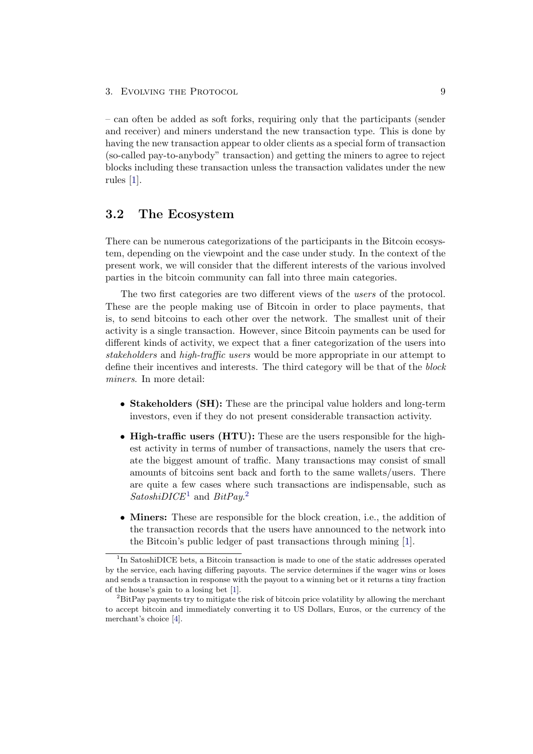3. EVOLVING THE PROTOCOL 9

– can often be added as soft forks, requiring only that the participants (sender and receiver) and miners understand the new transaction type. This is done by having the new transaction appear to older clients as a special form of transaction (so-called pay-to-anybody" transaction) and getting the miners to agree to reject blocks including these transaction unless the transaction validates under the new rules [\[1\]](#page-38-1).

## <span id="page-12-0"></span>3.2 The Ecosystem

There can be numerous categorizations of the participants in the Bitcoin ecosystem, depending on the viewpoint and the case under study. In the context of the present work, we will consider that the different interests of the various involved parties in the bitcoin community can fall into three main categories.

The two first categories are two different views of the users of the protocol. These are the people making use of Bitcoin in order to place payments, that is, to send bitcoins to each other over the network. The smallest unit of their activity is a single transaction. However, since Bitcoin payments can be used for different kinds of activity, we expect that a finer categorization of the users into stakeholders and high-traffic users would be more appropriate in our attempt to define their incentives and interests. The third category will be that of the block miners. In more detail:

- Stakeholders (SH): These are the principal value holders and long-term investors, even if they do not present considerable transaction activity.
- High-traffic users (HTU): These are the users responsible for the highest activity in terms of number of transactions, namely the users that create the biggest amount of traffic. Many transactions may consist of small amounts of bitcoins sent back and forth to the same wallets/users. There are quite a few cases where such transactions are indispensable, such as  $SatoshiDICE<sup>1</sup>$  $SatoshiDICE<sup>1</sup>$  $SatoshiDICE<sup>1</sup>$  and  $BitPay.<sup>2</sup>$  $BitPay.<sup>2</sup>$  $BitPay.<sup>2</sup>$
- Miners: These are responsible for the block creation, i.e., the addition of the transaction records that the users have announced to the network into the Bitcoin's public ledger of past transactions through mining [\[1\]](#page-38-1).

<span id="page-12-1"></span><sup>&</sup>lt;sup>1</sup>In SatoshiDICE bets, a Bitcoin transaction is made to one of the static addresses operated by the service, each having differing payouts. The service determines if the wager wins or loses and sends a transaction in response with the payout to a winning bet or it returns a tiny fraction of the house's gain to a losing bet [\[1\]](#page-38-1).

<span id="page-12-2"></span><sup>&</sup>lt;sup>2</sup>BitPay payments try to mitigate the risk of bitcoin price volatility by allowing the merchant to accept bitcoin and immediately converting it to US Dollars, Euros, or the currency of the merchant's choice [\[4\]](#page-38-4).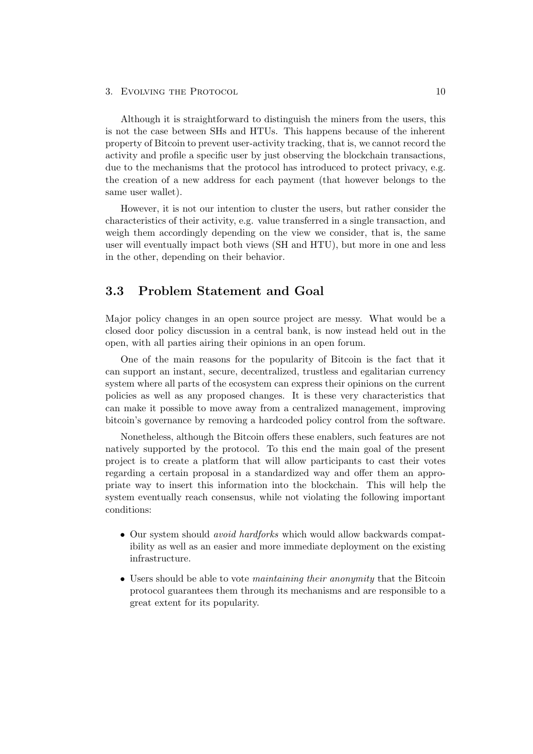#### 3. EVOLVING THE PROTOCOL 3. 2008. THE 10

Although it is straightforward to distinguish the miners from the users, this is not the case between SHs and HTUs. This happens because of the inherent property of Bitcoin to prevent user-activity tracking, that is, we cannot record the activity and profile a specific user by just observing the blockchain transactions, due to the mechanisms that the protocol has introduced to protect privacy, e.g. the creation of a new address for each payment (that however belongs to the same user wallet).

However, it is not our intention to cluster the users, but rather consider the characteristics of their activity, e.g. value transferred in a single transaction, and weigh them accordingly depending on the view we consider, that is, the same user will eventually impact both views (SH and HTU), but more in one and less in the other, depending on their behavior.

## <span id="page-13-0"></span>3.3 Problem Statement and Goal

Major policy changes in an open source project are messy. What would be a closed door policy discussion in a central bank, is now instead held out in the open, with all parties airing their opinions in an open forum.

One of the main reasons for the popularity of Bitcoin is the fact that it can support an instant, secure, decentralized, trustless and egalitarian currency system where all parts of the ecosystem can express their opinions on the current policies as well as any proposed changes. It is these very characteristics that can make it possible to move away from a centralized management, improving bitcoin's governance by removing a hardcoded policy control from the software.

Nonetheless, although the Bitcoin offers these enablers, such features are not natively supported by the protocol. To this end the main goal of the present project is to create a platform that will allow participants to cast their votes regarding a certain proposal in a standardized way and offer them an appropriate way to insert this information into the blockchain. This will help the system eventually reach consensus, while not violating the following important conditions:

- Our system should *avoid hardforks* which would allow backwards compatibility as well as an easier and more immediate deployment on the existing infrastructure.
- Users should be able to vote *maintaining their anonymity* that the Bitcoin protocol guarantees them through its mechanisms and are responsible to a great extent for its popularity.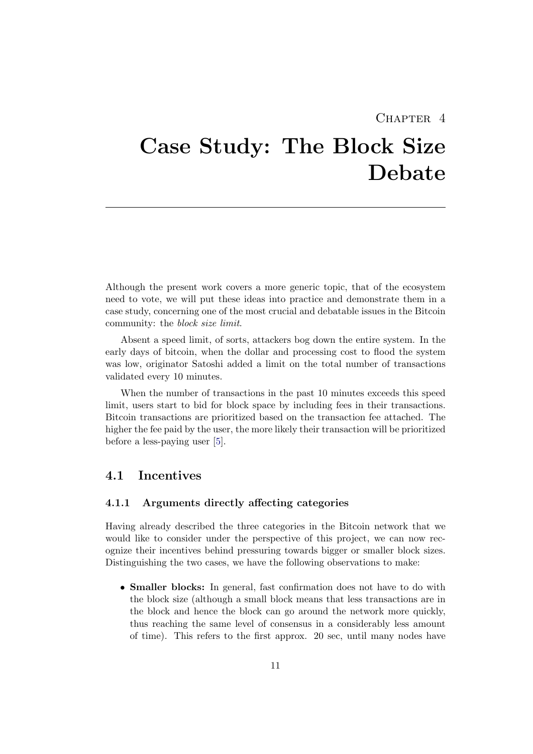## CHAPTER<sub>4</sub>

# <span id="page-14-0"></span>Case Study: The Block Size Debate

Although the present work covers a more generic topic, that of the ecosystem need to vote, we will put these ideas into practice and demonstrate them in a case study, concerning one of the most crucial and debatable issues in the Bitcoin community: the block size limit.

Absent a speed limit, of sorts, attackers bog down the entire system. In the early days of bitcoin, when the dollar and processing cost to flood the system was low, originator Satoshi added a limit on the total number of transactions validated every 10 minutes.

When the number of transactions in the past 10 minutes exceeds this speed limit, users start to bid for block space by including fees in their transactions. Bitcoin transactions are prioritized based on the transaction fee attached. The higher the fee paid by the user, the more likely their transaction will be prioritized before a less-paying user [\[5\]](#page-38-5).

## <span id="page-14-1"></span>4.1 Incentives

### 4.1.1 Arguments directly affecting categories

Having already described the three categories in the Bitcoin network that we would like to consider under the perspective of this project, we can now recognize their incentives behind pressuring towards bigger or smaller block sizes. Distinguishing the two cases, we have the following observations to make:

• **Smaller blocks:** In general, fast confirmation does not have to do with the block size (although a small block means that less transactions are in the block and hence the block can go around the network more quickly, thus reaching the same level of consensus in a considerably less amount of time). This refers to the first approx. 20 sec, until many nodes have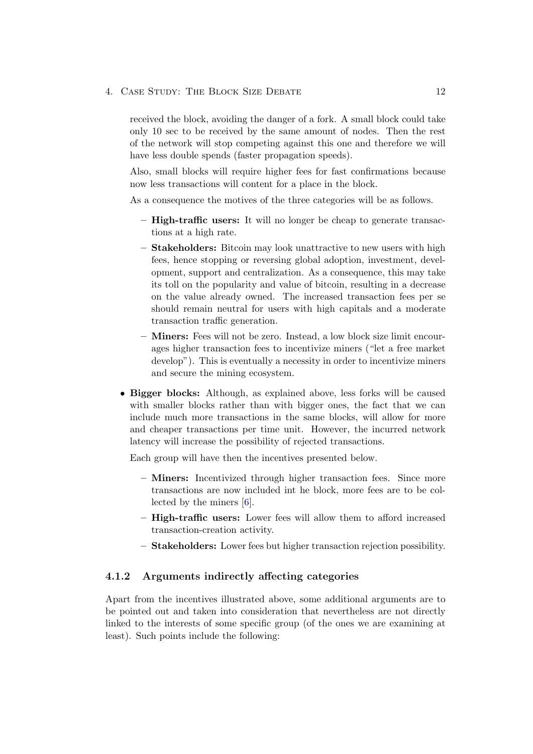### 4. CASE STUDY: THE BLOCK SIZE DEBATE 12

received the block, avoiding the danger of a fork. A small block could take only 10 sec to be received by the same amount of nodes. Then the rest of the network will stop competing against this one and therefore we will have less double spends (faster propagation speeds).

Also, small blocks will require higher fees for fast confirmations because now less transactions will content for a place in the block.

As a consequence the motives of the three categories will be as follows.

- High-traffic users: It will no longer be cheap to generate transactions at a high rate.
- Stakeholders: Bitcoin may look unattractive to new users with high fees, hence stopping or reversing global adoption, investment, development, support and centralization. As a consequence, this may take its toll on the popularity and value of bitcoin, resulting in a decrease on the value already owned. The increased transaction fees per se should remain neutral for users with high capitals and a moderate transaction traffic generation.
- Miners: Fees will not be zero. Instead, a low block size limit encourages higher transaction fees to incentivize miners ("let a free market develop"). This is eventually a necessity in order to incentivize miners and secure the mining ecosystem.
- Bigger blocks: Although, as explained above, less forks will be caused with smaller blocks rather than with bigger ones, the fact that we can include much more transactions in the same blocks, will allow for more and cheaper transactions per time unit. However, the incurred network latency will increase the possibility of rejected transactions.

Each group will have then the incentives presented below.

- Miners: Incentivized through higher transaction fees. Since more transactions are now included int he block, more fees are to be collected by the miners [\[6\]](#page-38-6).
- High-traffic users: Lower fees will allow them to afford increased transaction-creation activity.
- Stakeholders: Lower fees but higher transaction rejection possibility.

## 4.1.2 Arguments indirectly affecting categories

Apart from the incentives illustrated above, some additional arguments are to be pointed out and taken into consideration that nevertheless are not directly linked to the interests of some specific group (of the ones we are examining at least). Such points include the following: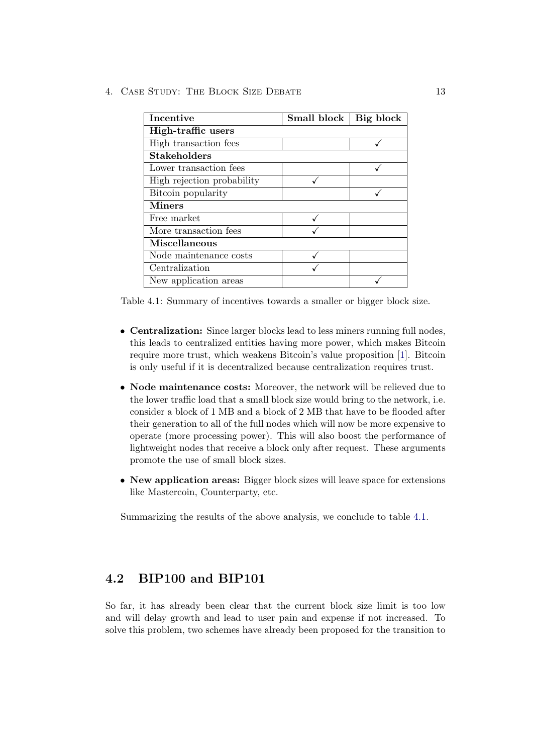4. Case Study: The Block Size Debate 13

| Incentive                  | Small block | Big block |  |  |  |
|----------------------------|-------------|-----------|--|--|--|
| High-traffic users         |             |           |  |  |  |
| High transaction fees      |             |           |  |  |  |
| <b>Stakeholders</b>        |             |           |  |  |  |
| Lower transaction fees     |             |           |  |  |  |
| High rejection probability |             |           |  |  |  |
| Bitcoin popularity         |             |           |  |  |  |
| <b>Miners</b>              |             |           |  |  |  |
| Free market                |             |           |  |  |  |
| More transaction fees      |             |           |  |  |  |
| Miscellaneous              |             |           |  |  |  |
| Node maintenance costs     |             |           |  |  |  |
| Centralization             |             |           |  |  |  |
| New application areas      |             |           |  |  |  |

<span id="page-16-1"></span>Table 4.1: Summary of incentives towards a smaller or bigger block size.

- Centralization: Since larger blocks lead to less miners running full nodes, this leads to centralized entities having more power, which makes Bitcoin require more trust, which weakens Bitcoin's value proposition [\[1\]](#page-38-1). Bitcoin is only useful if it is decentralized because centralization requires trust.
- Node maintenance costs: Moreover, the network will be relieved due to the lower traffic load that a small block size would bring to the network, i.e. consider a block of 1 MB and a block of 2 MB that have to be flooded after their generation to all of the full nodes which will now be more expensive to operate (more processing power). This will also boost the performance of lightweight nodes that receive a block only after request. These arguments promote the use of small block sizes.
- New application areas: Bigger block sizes will leave space for extensions like Mastercoin, Counterparty, etc.

Summarizing the results of the above analysis, we conclude to table [4.1.](#page-16-1)

## <span id="page-16-0"></span>4.2 BIP100 and BIP101

So far, it has already been clear that the current block size limit is too low and will delay growth and lead to user pain and expense if not increased. To solve this problem, two schemes have already been proposed for the transition to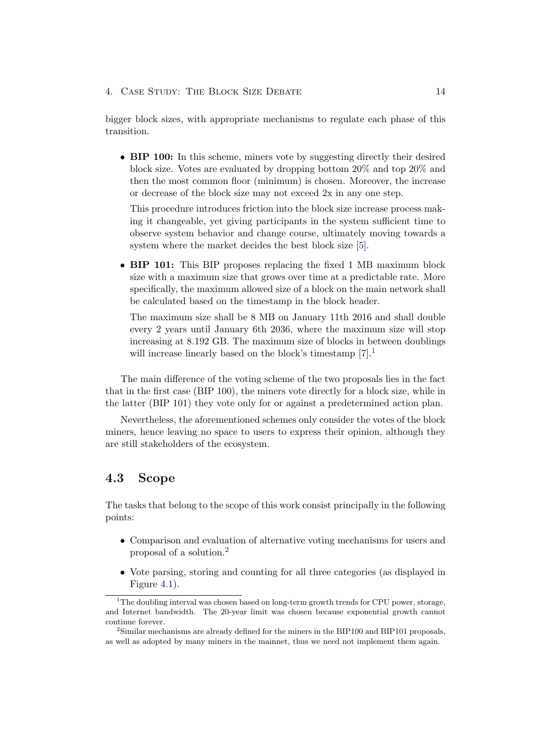4. Case Study: The Block Size Debate 14

bigger block sizes, with appropriate mechanisms to regulate each phase of this transition.

• BIP 100: In this scheme, miners vote by suggesting directly their desired block size. Votes are evaluated by dropping bottom 20% and top 20% and then the most common floor (minimum) is chosen. Moreover, the increase or decrease of the block size may not exceed 2x in any one step.

This procedure introduces friction into the block size increase process making it changeable, yet giving participants in the system sufficient time to observe system behavior and change course, ultimately moving towards a system where the market decides the best block size [\[5\]](#page-38-5).

• BIP 101: This BIP proposes replacing the fixed 1 MB maximum block size with a maximum size that grows over time at a predictable rate. More specifically, the maximum allowed size of a block on the main network shall be calculated based on the timestamp in the block header.

The maximum size shall be 8 MB on January 11th 2016 and shall double every 2 years until January 6th 2036, where the maximum size will stop increasing at 8.192 GB. The maximum size of blocks in between doublings will increase linearly based on the block's timestamp  $[7].<sup>1</sup>$  $[7].<sup>1</sup>$  $[7].<sup>1</sup>$  $[7].<sup>1</sup>$ 

The main difference of the voting scheme of the two proposals lies in the fact that in the first case (BIP 100), the miners vote directly for a block size, while in the latter (BIP 101) they vote only for or against a predetermined action plan.

Nevertheless, the aforementioned schemes only consider the votes of the block miners, hence leaving no space to users to express their opinion, although they are still stakeholders of the ecosystem.

# <span id="page-17-0"></span>4.3 Scope

The tasks that belong to the scope of this work consist principally in the following points:

- Comparison and evaluation of alternative voting mechanisms for users and proposal of a solution.[2](#page-17-2)
- Vote parsing, storing and counting for all three categories (as displayed in Figure [4.1\)](#page-18-0).

<span id="page-17-1"></span><sup>&</sup>lt;sup>1</sup>The doubling interval was chosen based on long-term growth trends for CPU power, storage, and Internet bandwidth. The 20-year limit was chosen because exponential growth cannot continue forever.

<span id="page-17-2"></span> $2$ Similar mechanisms are already defined for the miners in the BIP100 and BIP101 proposals, as well as adopted by many miners in the mainnet, thus we need not implement them again.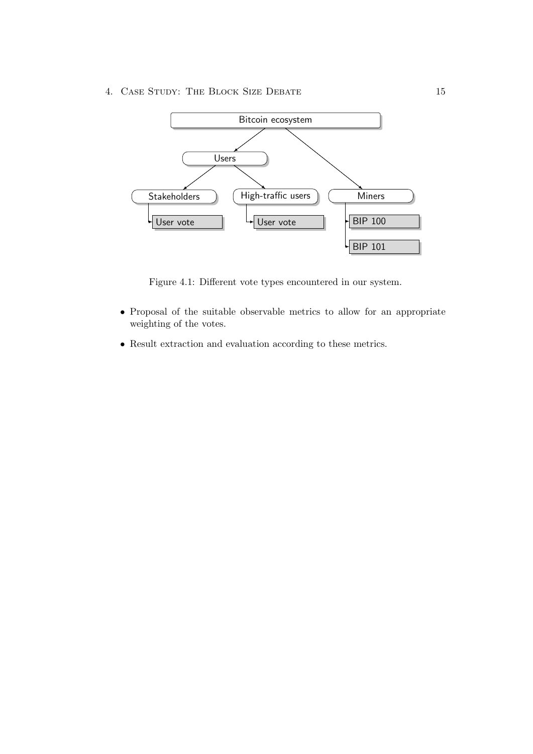4. Case Study: The Block Size Debate 15



<span id="page-18-0"></span>Figure 4.1: Different vote types encountered in our system.

- Proposal of the suitable observable metrics to allow for an appropriate weighting of the votes.
- Result extraction and evaluation according to these metrics.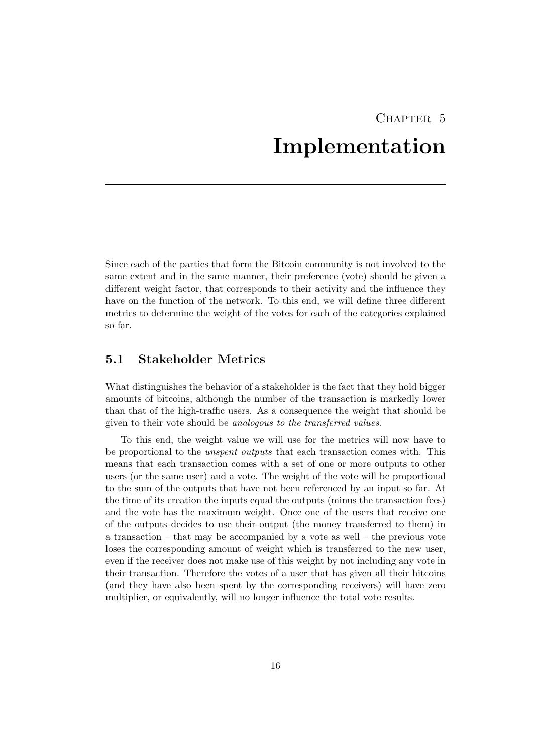# CHAPTER 5 Implementation

<span id="page-19-0"></span>Since each of the parties that form the Bitcoin community is not involved to the same extent and in the same manner, their preference (vote) should be given a different weight factor, that corresponds to their activity and the influence they have on the function of the network. To this end, we will define three different metrics to determine the weight of the votes for each of the categories explained so far.

## <span id="page-19-1"></span>5.1 Stakeholder Metrics

What distinguishes the behavior of a stakeholder is the fact that they hold bigger amounts of bitcoins, although the number of the transaction is markedly lower than that of the high-traffic users. As a consequence the weight that should be given to their vote should be analogous to the transferred values.

To this end, the weight value we will use for the metrics will now have to be proportional to the unspent outputs that each transaction comes with. This means that each transaction comes with a set of one or more outputs to other users (or the same user) and a vote. The weight of the vote will be proportional to the sum of the outputs that have not been referenced by an input so far. At the time of its creation the inputs equal the outputs (minus the transaction fees) and the vote has the maximum weight. Once one of the users that receive one of the outputs decides to use their output (the money transferred to them) in a transaction – that may be accompanied by a vote as well – the previous vote loses the corresponding amount of weight which is transferred to the new user, even if the receiver does not make use of this weight by not including any vote in their transaction. Therefore the votes of a user that has given all their bitcoins (and they have also been spent by the corresponding receivers) will have zero multiplier, or equivalently, will no longer influence the total vote results.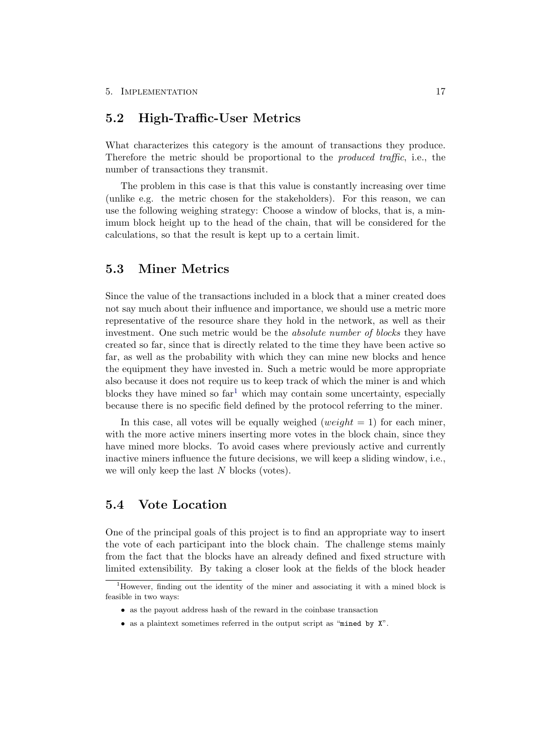## <span id="page-20-0"></span>5.2 High-Traffic-User Metrics

What characterizes this category is the amount of transactions they produce. Therefore the metric should be proportional to the produced traffic, i.e., the number of transactions they transmit.

The problem in this case is that this value is constantly increasing over time (unlike e.g. the metric chosen for the stakeholders). For this reason, we can use the following weighing strategy: Choose a window of blocks, that is, a minimum block height up to the head of the chain, that will be considered for the calculations, so that the result is kept up to a certain limit.

## <span id="page-20-1"></span>5.3 Miner Metrics

Since the value of the transactions included in a block that a miner created does not say much about their influence and importance, we should use a metric more representative of the resource share they hold in the network, as well as their investment. One such metric would be the *absolute number of blocks* they have created so far, since that is directly related to the time they have been active so far, as well as the probability with which they can mine new blocks and hence the equipment they have invested in. Such a metric would be more appropriate also because it does not require us to keep track of which the miner is and which blocks they have mined so  $far<sup>1</sup>$  $far<sup>1</sup>$  $far<sup>1</sup>$  which may contain some uncertainty, especially because there is no specific field defined by the protocol referring to the miner.

In this case, all votes will be equally weighed (weight  $= 1$ ) for each miner, with the more active miners inserting more votes in the block chain, since they have mined more blocks. To avoid cases where previously active and currently inactive miners influence the future decisions, we will keep a sliding window, i.e., we will only keep the last N blocks (votes).

## <span id="page-20-2"></span>5.4 Vote Location

One of the principal goals of this project is to find an appropriate way to insert the vote of each participant into the block chain. The challenge stems mainly from the fact that the blocks have an already defined and fixed structure with limited extensibility. By taking a closer look at the fields of the block header

- as the payout address hash of the reward in the coinbase transaction
- as a plaintext sometimes referred in the output script as "mined by X".

<span id="page-20-3"></span><sup>&</sup>lt;sup>1</sup>However, finding out the identity of the miner and associating it with a mined block is feasible in two ways: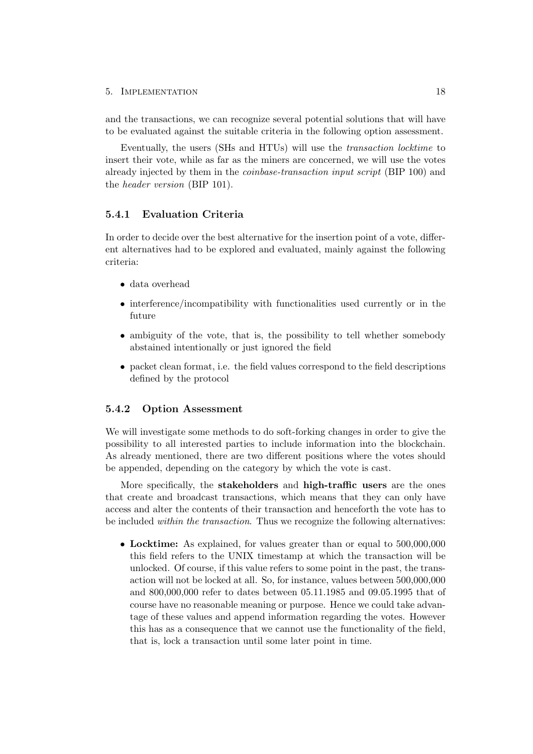#### 5. IMPLEMENTATION 18

and the transactions, we can recognize several potential solutions that will have to be evaluated against the suitable criteria in the following option assessment.

Eventually, the users (SHs and HTUs) will use the transaction locktime to insert their vote, while as far as the miners are concerned, we will use the votes already injected by them in the coinbase-transaction input script (BIP 100) and the header version (BIP 101).

## 5.4.1 Evaluation Criteria

In order to decide over the best alternative for the insertion point of a vote, different alternatives had to be explored and evaluated, mainly against the following criteria:

- data overhead
- interference/incompatibility with functionalities used currently or in the future
- ambiguity of the vote, that is, the possibility to tell whether somebody abstained intentionally or just ignored the field
- packet clean format, i.e. the field values correspond to the field descriptions defined by the protocol

#### 5.4.2 Option Assessment

We will investigate some methods to do soft-forking changes in order to give the possibility to all interested parties to include information into the blockchain. As already mentioned, there are two different positions where the votes should be appended, depending on the category by which the vote is cast.

More specifically, the stakeholders and high-traffic users are the ones that create and broadcast transactions, which means that they can only have access and alter the contents of their transaction and henceforth the vote has to be included within the transaction. Thus we recognize the following alternatives:

• Locktime: As explained, for values greater than or equal to 500,000,000 this field refers to the UNIX timestamp at which the transaction will be unlocked. Of course, if this value refers to some point in the past, the transaction will not be locked at all. So, for instance, values between 500,000,000 and 800,000,000 refer to dates between 05.11.1985 and 09.05.1995 that of course have no reasonable meaning or purpose. Hence we could take advantage of these values and append information regarding the votes. However this has as a consequence that we cannot use the functionality of the field, that is, lock a transaction until some later point in time.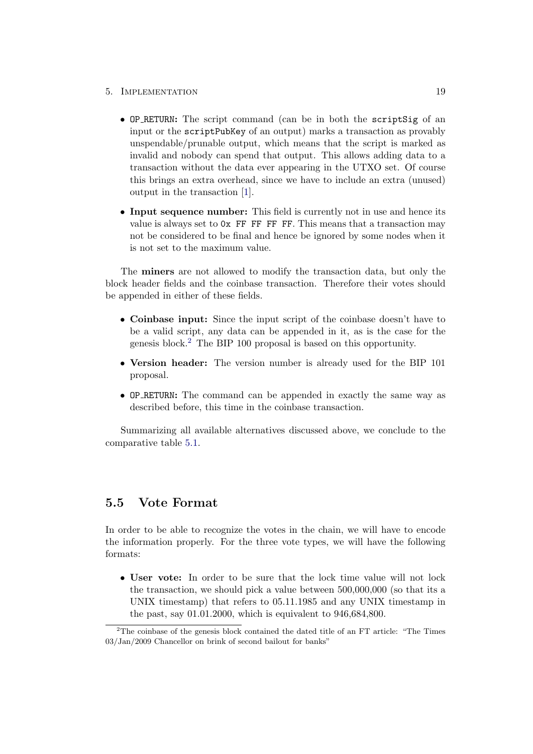#### 5. Implementation 19

- OP RETURN: The script command (can be in both the scriptSig of an input or the scriptPubKey of an output) marks a transaction as provably unspendable/prunable output, which means that the script is marked as invalid and nobody can spend that output. This allows adding data to a transaction without the data ever appearing in the UTXO set. Of course this brings an extra overhead, since we have to include an extra (unused) output in the transaction [\[1\]](#page-38-1).
- Input sequence number: This field is currently not in use and hence its value is always set to 0x FF FF FF FF. This means that a transaction may not be considered to be final and hence be ignored by some nodes when it is not set to the maximum value.

The miners are not allowed to modify the transaction data, but only the block header fields and the coinbase transaction. Therefore their votes should be appended in either of these fields.

- Coinbase input: Since the input script of the coinbase doesn't have to be a valid script, any data can be appended in it, as is the case for the genesis block.[2](#page-22-1) The BIP 100 proposal is based on this opportunity.
- Version header: The version number is already used for the BIP 101 proposal.
- OP RETURN: The command can be appended in exactly the same way as described before, this time in the coinbase transaction.

Summarizing all available alternatives discussed above, we conclude to the comparative table [5.1.](#page-23-1)

## <span id="page-22-0"></span>5.5 Vote Format

In order to be able to recognize the votes in the chain, we will have to encode the information properly. For the three vote types, we will have the following formats:

• User vote: In order to be sure that the lock time value will not lock the transaction, we should pick a value between 500,000,000 (so that its a UNIX timestamp) that refers to 05.11.1985 and any UNIX timestamp in the past, say 01.01.2000, which is equivalent to 946,684,800.

<span id="page-22-1"></span><sup>&</sup>lt;sup>2</sup>The coinbase of the genesis block contained the dated title of an FT article: "The Times" 03/Jan/2009 Chancellor on brink of second bailout for banks"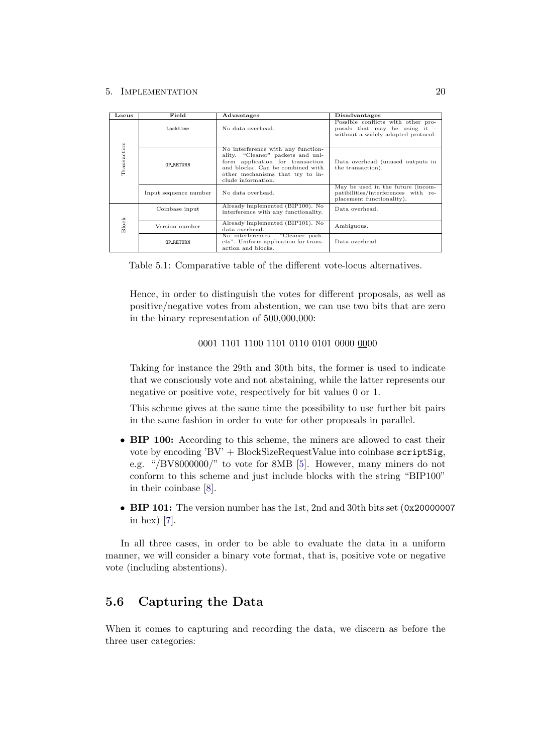#### 5. IMPLEMENTATION 20

| Locus       | Field                 | <b>Advantages</b>                                                                                                                                                                                         | <b>Disadvantages</b>                                                                                        |  |
|-------------|-----------------------|-----------------------------------------------------------------------------------------------------------------------------------------------------------------------------------------------------------|-------------------------------------------------------------------------------------------------------------|--|
|             | Locktime              | No data overhead.                                                                                                                                                                                         | Possible conflicts with other pro-<br>posals that may be using it $=$<br>without a widely adopted protocol. |  |
| Transaction | <b>OP_RETURN</b>      | No interference with any function-<br>ality. "Cleaner" packets and uni-<br>form application for transaction<br>and blocks. Can be combined with<br>other mechanisms that try to in-<br>clude information. | Data overhead (unused outputs in<br>the transaction).                                                       |  |
|             | Input sequence number | No data overhead.                                                                                                                                                                                         | May be used in the future (incom-<br>patibilities/interferences with re-<br>placement functionality).       |  |
|             | Coinbase input        | Already implemented (BIP100). No<br>interference with any functionality.                                                                                                                                  | Data overhead.                                                                                              |  |
| Block       | Version number        | Already implemented (BIP101). No<br>data overhead.                                                                                                                                                        | Ambiguous.                                                                                                  |  |
|             | <b>OP RETURN</b>      | "Cleaner pack-<br>No interferences.<br>ets". Uniform application for trans-<br>action and blocks.                                                                                                         | Data overhead.                                                                                              |  |

<span id="page-23-1"></span>Table 5.1: Comparative table of the different vote-locus alternatives.

Hence, in order to distinguish the votes for different proposals, as well as positive/negative votes from abstention, we can use two bits that are zero in the binary representation of 500,000,000:

#### 0001 1101 1100 1101 0110 0101 0000 0000

Taking for instance the 29th and 30th bits, the former is used to indicate that we consciously vote and not abstaining, while the latter represents our negative or positive vote, respectively for bit values 0 or 1.

This scheme gives at the same time the possibility to use further bit pairs in the same fashion in order to vote for other proposals in parallel.

- BIP 100: According to this scheme, the miners are allowed to cast their vote by encoding 'BV' + BlockSizeRequestValue into coinbase scriptSig, e.g. "/BV8000000/" to vote for 8MB [\[5\]](#page-38-5). However, many miners do not conform to this scheme and just include blocks with the string "BIP100" in their coinbase [\[8\]](#page-38-8).
- BIP 101: The version number has the 1st, 2nd and 30th bits set (0x20000007 in hex) [\[7\]](#page-38-7).

In all three cases, in order to be able to evaluate the data in a uniform manner, we will consider a binary vote format, that is, positive vote or negative vote (including abstentions).

## <span id="page-23-0"></span>5.6 Capturing the Data

When it comes to capturing and recording the data, we discern as before the three user categories: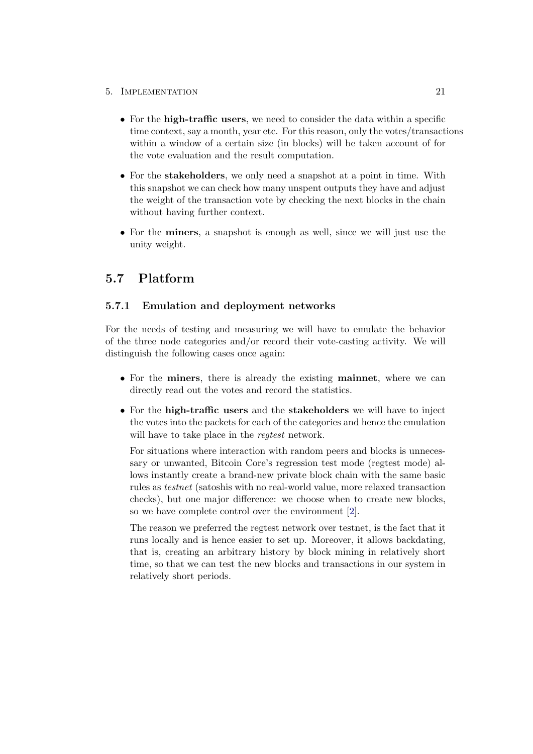### 5. Implementation 21

- For the **high-traffic users**, we need to consider the data within a specific time context, say a month, year etc. For this reason, only the votes/transactions within a window of a certain size (in blocks) will be taken account of for the vote evaluation and the result computation.
- For the **stakeholders**, we only need a snapshot at a point in time. With this snapshot we can check how many unspent outputs they have and adjust the weight of the transaction vote by checking the next blocks in the chain without having further context.
- For the miners, a snapshot is enough as well, since we will just use the unity weight.

## <span id="page-24-0"></span>5.7 Platform

### 5.7.1 Emulation and deployment networks

For the needs of testing and measuring we will have to emulate the behavior of the three node categories and/or record their vote-casting activity. We will distinguish the following cases once again:

- For the miners, there is already the existing mainnet, where we can directly read out the votes and record the statistics.
- For the high-traffic users and the stakeholders we will have to inject the votes into the packets for each of the categories and hence the emulation will have to take place in the *regtest* network.

For situations where interaction with random peers and blocks is unnecessary or unwanted, Bitcoin Core's regression test mode (regtest mode) allows instantly create a brand-new private block chain with the same basic rules as testnet (satoshis with no real-world value, more relaxed transaction checks), but one major difference: we choose when to create new blocks, so we have complete control over the environment [\[2\]](#page-38-2).

The reason we preferred the regtest network over testnet, is the fact that it runs locally and is hence easier to set up. Moreover, it allows backdating, that is, creating an arbitrary history by block mining in relatively short time, so that we can test the new blocks and transactions in our system in relatively short periods.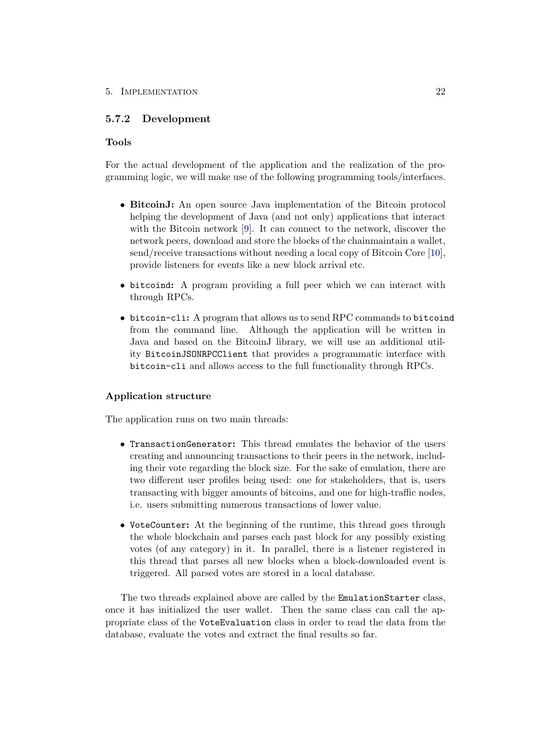## 5.7.2 Development

### Tools

For the actual development of the application and the realization of the programming logic, we will make use of the following programming tools/interfaces.

- BitcoinJ: An open source Java implementation of the Bitcoin protocol helping the development of Java (and not only) applications that interact with the Bitcoin network [\[9\]](#page-38-9). It can connect to the network, discover the network peers, download and store the blocks of the chainmaintain a wallet, send/receive transactions without needing a local copy of Bitcoin Core [\[10\]](#page-38-10), provide listeners for events like a new block arrival etc.
- bitcoind: A program providing a full peer which we can interact with through RPCs.
- bitcoin-cli: A program that allows us to send RPC commands to bitcoind from the command line. Although the application will be written in Java and based on the BitcoinJ library, we will use an additional utility BitcoinJSONRPCClient that provides a programmatic interface with bitcoin-cli and allows access to the full functionality through RPCs.

### Application structure

The application runs on two main threads:

- TransactionGenerator: This thread emulates the behavior of the users creating and announcing transactions to their peers in the network, including their vote regarding the block size. For the sake of emulation, there are two different user profiles being used: one for stakeholders, that is, users transacting with bigger amounts of bitcoins, and one for high-traffic nodes, i.e. users submitting numerous transactions of lower value.
- VoteCounter: At the beginning of the runtime, this thread goes through the whole blockchain and parses each past block for any possibly existing votes (of any category) in it. In parallel, there is a listener registered in this thread that parses all new blocks when a block-downloaded event is triggered. All parsed votes are stored in a local database.

The two threads explained above are called by the EmulationStarter class, once it has initialized the user wallet. Then the same class can call the appropriate class of the VoteEvaluation class in order to read the data from the database, evaluate the votes and extract the final results so far.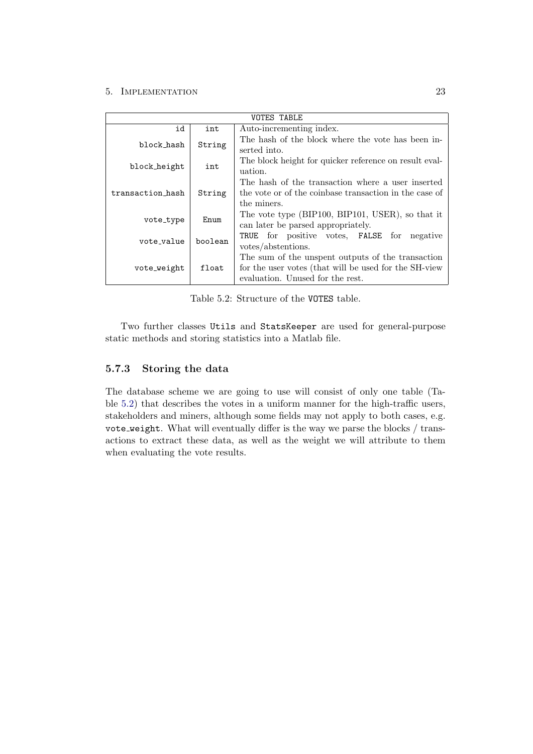### 5. IMPLEMENTATION 23

| <b>VOTES TABLE</b>    |        |                                                                                                                                                |  |  |  |
|-----------------------|--------|------------------------------------------------------------------------------------------------------------------------------------------------|--|--|--|
| id                    | int    | Auto-incrementing index.                                                                                                                       |  |  |  |
| block hash            | String | The hash of the block where the vote has been in-<br>serted into.                                                                              |  |  |  |
| block height          | int    | The block height for quicker reference on result eval-<br>uation.                                                                              |  |  |  |
| transaction_hash      | String | The hash of the transaction where a user inserted<br>the vote or of the coinbase transaction in the case of<br>the miners.                     |  |  |  |
| vote_type             | Enum   | The vote type (BIP100, BIP101, USER), so that it<br>can later be parsed appropriately.                                                         |  |  |  |
| boolean<br>vote value |        | TRUE for positive votes, FALSE for<br>negative<br>votes/abstentions.                                                                           |  |  |  |
| vote_weight           | float  | The sum of the unspent outputs of the transaction<br>for the user votes (that will be used for the SH-view<br>evaluation. Unused for the rest. |  |  |  |

<span id="page-26-0"></span>Table 5.2: Structure of the VOTES table.

Two further classes Utils and StatsKeeper are used for general-purpose static methods and storing statistics into a Matlab file.

## 5.7.3 Storing the data

The database scheme we are going to use will consist of only one table (Table [5.2\)](#page-26-0) that describes the votes in a uniform manner for the high-traffic users, stakeholders and miners, although some fields may not apply to both cases, e.g. vote weight. What will eventually differ is the way we parse the blocks / transactions to extract these data, as well as the weight we will attribute to them when evaluating the vote results.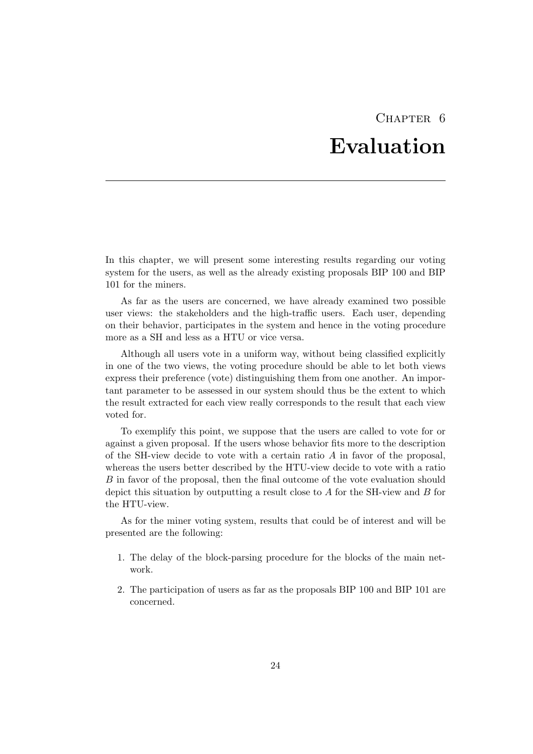# CHAPTER<sub>6</sub> Evaluation

<span id="page-27-0"></span>In this chapter, we will present some interesting results regarding our voting system for the users, as well as the already existing proposals BIP 100 and BIP 101 for the miners.

As far as the users are concerned, we have already examined two possible user views: the stakeholders and the high-traffic users. Each user, depending on their behavior, participates in the system and hence in the voting procedure more as a SH and less as a HTU or vice versa.

Although all users vote in a uniform way, without being classified explicitly in one of the two views, the voting procedure should be able to let both views express their preference (vote) distinguishing them from one another. An important parameter to be assessed in our system should thus be the extent to which the result extracted for each view really corresponds to the result that each view voted for.

To exemplify this point, we suppose that the users are called to vote for or against a given proposal. If the users whose behavior fits more to the description of the SH-view decide to vote with a certain ratio  $A$  in favor of the proposal, whereas the users better described by the HTU-view decide to vote with a ratio B in favor of the proposal, then the final outcome of the vote evaluation should depict this situation by outputting a result close to A for the SH-view and B for the HTU-view.

As for the miner voting system, results that could be of interest and will be presented are the following:

- 1. The delay of the block-parsing procedure for the blocks of the main network.
- 2. The participation of users as far as the proposals BIP 100 and BIP 101 are concerned.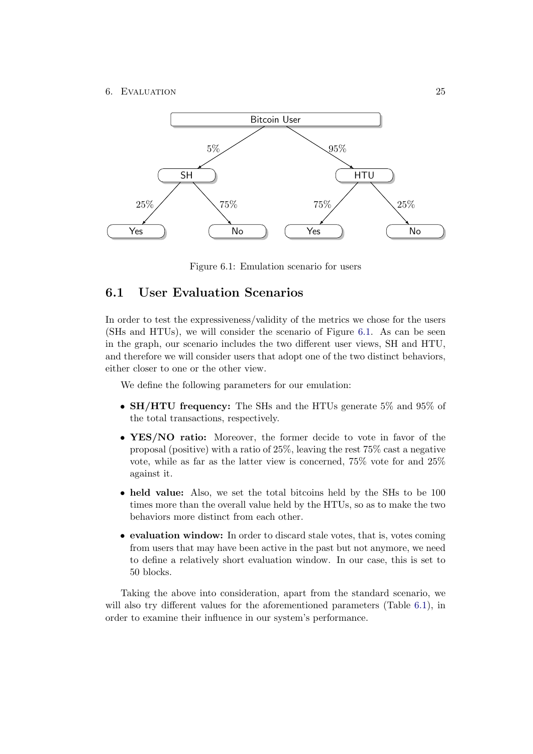#### 6. EVALUATION 25



<span id="page-28-1"></span>Figure 6.1: Emulation scenario for users

## <span id="page-28-0"></span>6.1 User Evaluation Scenarios

In order to test the expressiveness/validity of the metrics we chose for the users (SHs and HTUs), we will consider the scenario of Figure [6.1.](#page-28-1) As can be seen in the graph, our scenario includes the two different user views, SH and HTU, and therefore we will consider users that adopt one of the two distinct behaviors, either closer to one or the other view.

We define the following parameters for our emulation:

- **SH/HTU frequency:** The SHs and the HTUs generate 5\% and 95\% of the total transactions, respectively.
- YES/NO ratio: Moreover, the former decide to vote in favor of the proposal (positive) with a ratio of 25%, leaving the rest 75% cast a negative vote, while as far as the latter view is concerned, 75% vote for and 25% against it.
- held value: Also, we set the total bitcoins held by the SHs to be 100 times more than the overall value held by the HTUs, so as to make the two behaviors more distinct from each other.
- evaluation window: In order to discard stale votes, that is, votes coming from users that may have been active in the past but not anymore, we need to define a relatively short evaluation window. In our case, this is set to 50 blocks.

Taking the above into consideration, apart from the standard scenario, we will also try different values for the aforementioned parameters (Table [6.1\)](#page-29-1), in order to examine their influence in our system's performance.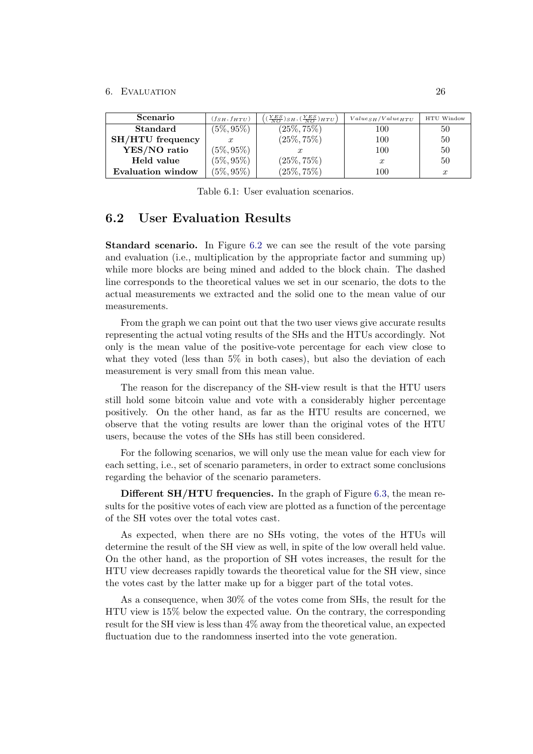#### 6. EVALUATION 26

| Scenario                | $(f_{SH}, f_{HTU})$ | $(\frac{YES}{NO})_{SH}, (\frac{YES}{NO})_{HTU}$ | $Values_H/Value_{HTU}$ | HTU Window       |
|-------------------------|---------------------|-------------------------------------------------|------------------------|------------------|
| <b>Standard</b>         | $(5\%,95\%)$        | $(25\%, 75\%)$                                  | 100                    | 50               |
| <b>SH/HTU</b> frequency |                     | $(25\%, 75\%)$                                  | 100                    | 50               |
| YES/NO ratio            | $(5\%, 95\%)$       |                                                 | 100                    | 50               |
| Held value              | $(5\%, 95\%)$       | $(25\%, 75\%)$                                  | $\mathcal{X}$          | 50               |
| Evaluation window       | $(5\%, 95\%)$       | $(25\%, 75\%)$                                  | 100                    | $\boldsymbol{x}$ |

<span id="page-29-1"></span>Table 6.1: User evaluation scenarios.

## <span id="page-29-0"></span>6.2 User Evaluation Results

Standard scenario. In Figure [6.2](#page-30-0) we can see the result of the vote parsing and evaluation (i.e., multiplication by the appropriate factor and summing up) while more blocks are being mined and added to the block chain. The dashed line corresponds to the theoretical values we set in our scenario, the dots to the actual measurements we extracted and the solid one to the mean value of our measurements.

From the graph we can point out that the two user views give accurate results representing the actual voting results of the SHs and the HTUs accordingly. Not only is the mean value of the positive-vote percentage for each view close to what they voted (less than 5% in both cases), but also the deviation of each measurement is very small from this mean value.

The reason for the discrepancy of the SH-view result is that the HTU users still hold some bitcoin value and vote with a considerably higher percentage positively. On the other hand, as far as the HTU results are concerned, we observe that the voting results are lower than the original votes of the HTU users, because the votes of the SHs has still been considered.

For the following scenarios, we will only use the mean value for each view for each setting, i.e., set of scenario parameters, in order to extract some conclusions regarding the behavior of the scenario parameters.

Different SH/HTU frequencies. In the graph of Figure [6.3,](#page-31-0) the mean results for the positive votes of each view are plotted as a function of the percentage of the SH votes over the total votes cast.

As expected, when there are no SHs voting, the votes of the HTUs will determine the result of the SH view as well, in spite of the low overall held value. On the other hand, as the proportion of SH votes increases, the result for the HTU view decreases rapidly towards the theoretical value for the SH view, since the votes cast by the latter make up for a bigger part of the total votes.

As a consequence, when 30% of the votes come from SHs, the result for the HTU view is 15% below the expected value. On the contrary, the corresponding result for the SH view is less than 4% away from the theoretical value, an expected fluctuation due to the randomness inserted into the vote generation.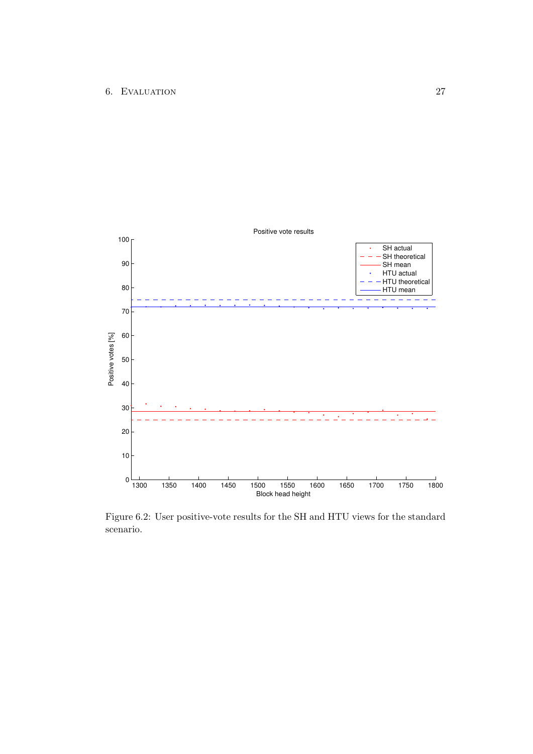

<span id="page-30-0"></span>Figure 6.2: User positive-vote results for the SH and HTU views for the standard scenario.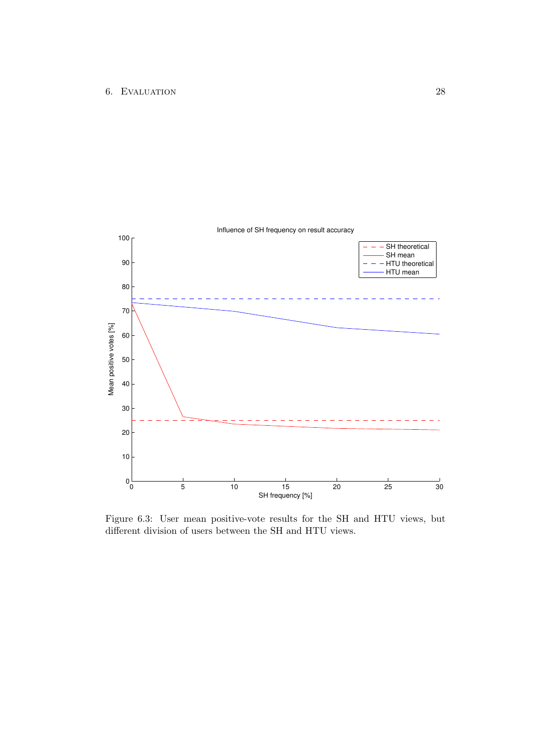

<span id="page-31-0"></span>Figure 6.3: User mean positive-vote results for the SH and HTU views, but different division of users between the SH and HTU views.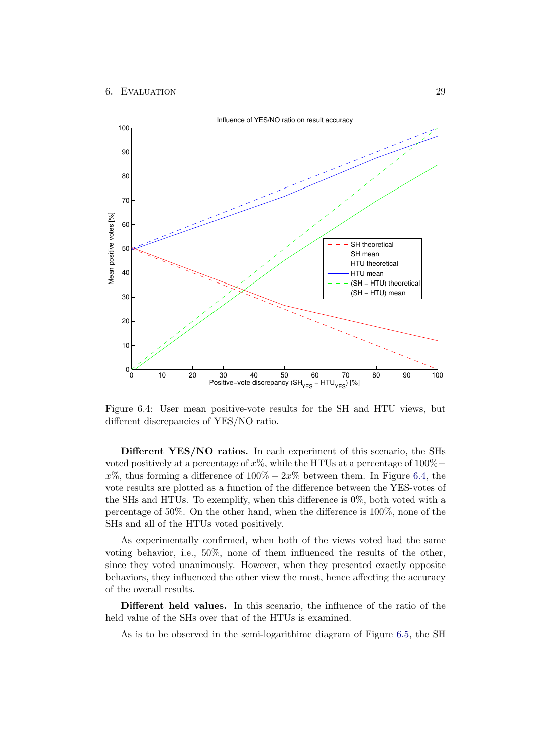

<span id="page-32-0"></span>Figure 6.4: User mean positive-vote results for the SH and HTU views, but different discrepancies of YES/NO ratio.

Different YES/NO ratios. In each experiment of this scenario, the SHs voted positively at a percentage of  $x\%$ , while the HTUs at a percentage of 100% −  $x\%$ , thus forming a difference of  $100\% - 2x\%$  between them. In Figure [6.4,](#page-32-0) the vote results are plotted as a function of the difference between the YES-votes of the SHs and HTUs. To exemplify, when this difference is 0%, both voted with a percentage of 50%. On the other hand, when the difference is 100%, none of the SHs and all of the HTUs voted positively.

As experimentally confirmed, when both of the views voted had the same voting behavior, i.e., 50%, none of them influenced the results of the other, since they voted unanimously. However, when they presented exactly opposite behaviors, they influenced the other view the most, hence affecting the accuracy of the overall results.

Different held values. In this scenario, the influence of the ratio of the held value of the SHs over that of the HTUs is examined.

As is to be observed in the semi-logarithimc diagram of Figure [6.5,](#page-33-0) the SH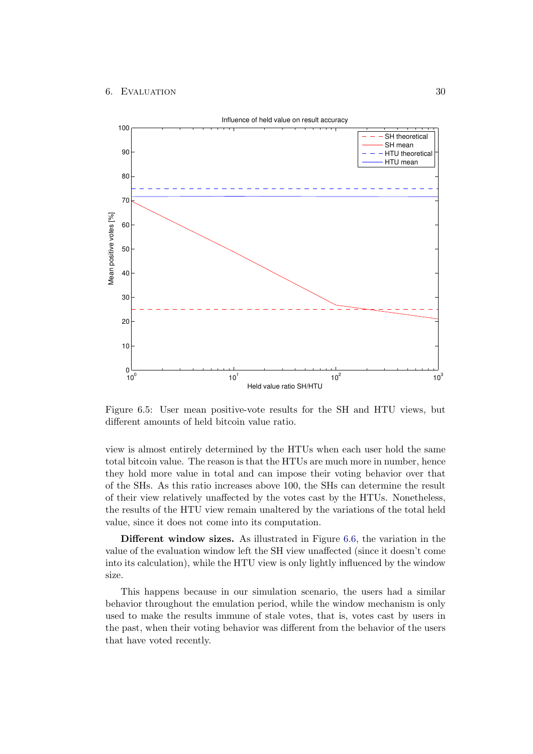#### 6. EVALUATION 30



<span id="page-33-0"></span>Figure 6.5: User mean positive-vote results for the SH and HTU views, but different amounts of held bitcoin value ratio.

view is almost entirely determined by the HTUs when each user hold the same total bitcoin value. The reason is that the HTUs are much more in number, hence they hold more value in total and can impose their voting behavior over that of the SHs. As this ratio increases above 100, the SHs can determine the result of their view relatively unaffected by the votes cast by the HTUs. Nonetheless, the results of the HTU view remain unaltered by the variations of the total held value, since it does not come into its computation.

Different window sizes. As illustrated in Figure [6.6,](#page-34-0) the variation in the value of the evaluation window left the SH view unaffected (since it doesn't come into its calculation), while the HTU view is only lightly influenced by the window size.

This happens because in our simulation scenario, the users had a similar behavior throughout the emulation period, while the window mechanism is only used to make the results immune of stale votes, that is, votes cast by users in the past, when their voting behavior was different from the behavior of the users that have voted recently.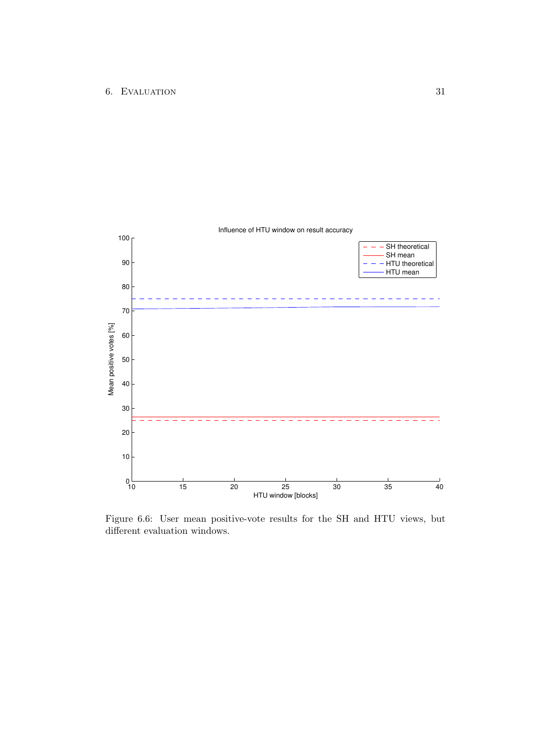

<span id="page-34-0"></span>Figure 6.6: User mean positive-vote results for the SH and HTU views, but different evaluation windows.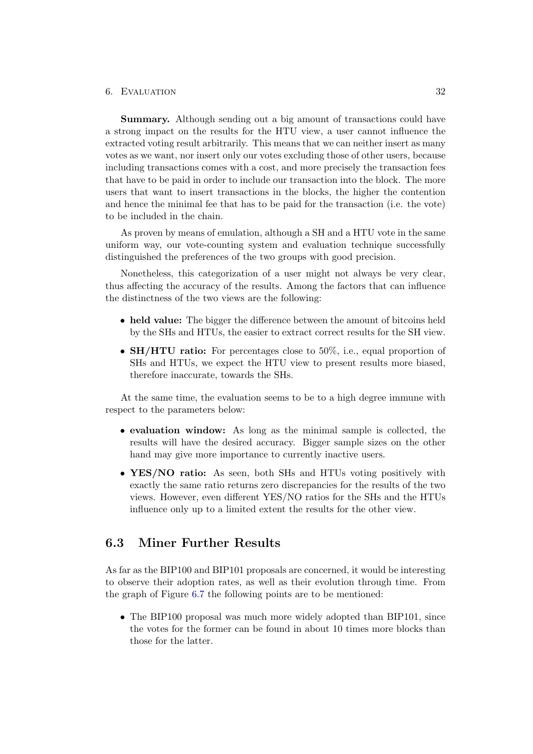#### 6. Evaluation 32

Summary. Although sending out a big amount of transactions could have a strong impact on the results for the HTU view, a user cannot influence the extracted voting result arbitrarily. This means that we can neither insert as many votes as we want, nor insert only our votes excluding those of other users, because including transactions comes with a cost, and more precisely the transaction fees that have to be paid in order to include our transaction into the block. The more users that want to insert transactions in the blocks, the higher the contention and hence the minimal fee that has to be paid for the transaction (i.e. the vote) to be included in the chain.

As proven by means of emulation, although a SH and a HTU vote in the same uniform way, our vote-counting system and evaluation technique successfully distinguished the preferences of the two groups with good precision.

Nonetheless, this categorization of a user might not always be very clear, thus affecting the accuracy of the results. Among the factors that can influence the distinctness of the two views are the following:

- held value: The bigger the difference between the amount of bitcoins held by the SHs and HTUs, the easier to extract correct results for the SH view.
- **SH/HTU ratio:** For percentages close to 50%, i.e., equal proportion of SHs and HTUs, we expect the HTU view to present results more biased, therefore inaccurate, towards the SHs.

At the same time, the evaluation seems to be to a high degree immune with respect to the parameters below:

- evaluation window: As long as the minimal sample is collected, the results will have the desired accuracy. Bigger sample sizes on the other hand may give more importance to currently inactive users.
- YES/NO ratio: As seen, both SHs and HTUs voting positively with exactly the same ratio returns zero discrepancies for the results of the two views. However, even different YES/NO ratios for the SHs and the HTUs influence only up to a limited extent the results for the other view.

## <span id="page-35-0"></span>6.3 Miner Further Results

As far as the BIP100 and BIP101 proposals are concerned, it would be interesting to observe their adoption rates, as well as their evolution through time. From the graph of Figure [6.7](#page-36-0) the following points are to be mentioned:

• The BIP100 proposal was much more widely adopted than BIP101, since the votes for the former can be found in about 10 times more blocks than those for the latter.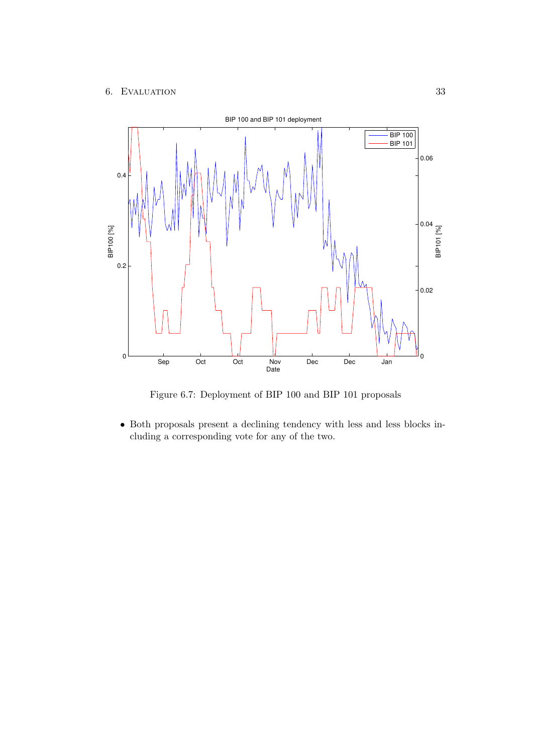### 6. EVALUATION 33



<span id="page-36-0"></span>Figure 6.7: Deployment of BIP 100 and BIP 101 proposals

• Both proposals present a declining tendency with less and less blocks including a corresponding vote for any of the two.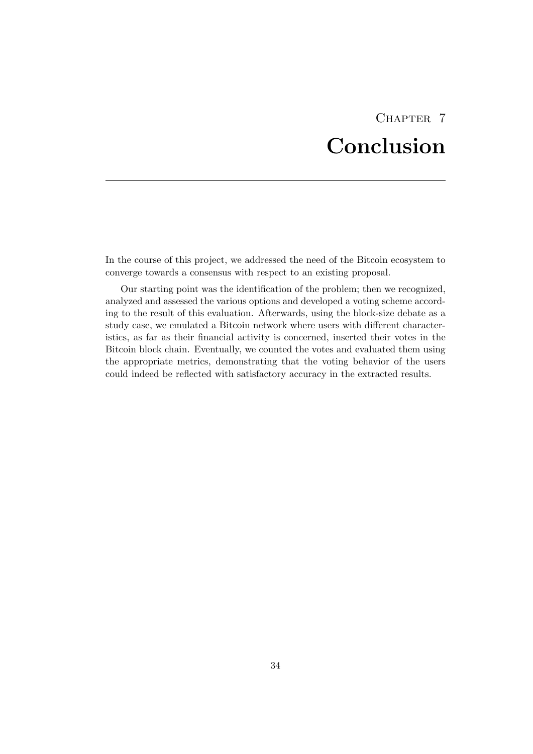# CHAPTER<sub>7</sub> Conclusion

<span id="page-37-0"></span>In the course of this project, we addressed the need of the Bitcoin ecosystem to converge towards a consensus with respect to an existing proposal.

Our starting point was the identification of the problem; then we recognized, analyzed and assessed the various options and developed a voting scheme according to the result of this evaluation. Afterwards, using the block-size debate as a study case, we emulated a Bitcoin network where users with different characteristics, as far as their financial activity is concerned, inserted their votes in the Bitcoin block chain. Eventually, we counted the votes and evaluated them using the appropriate metrics, demonstrating that the voting behavior of the users could indeed be reflected with satisfactory accuracy in the extracted results.